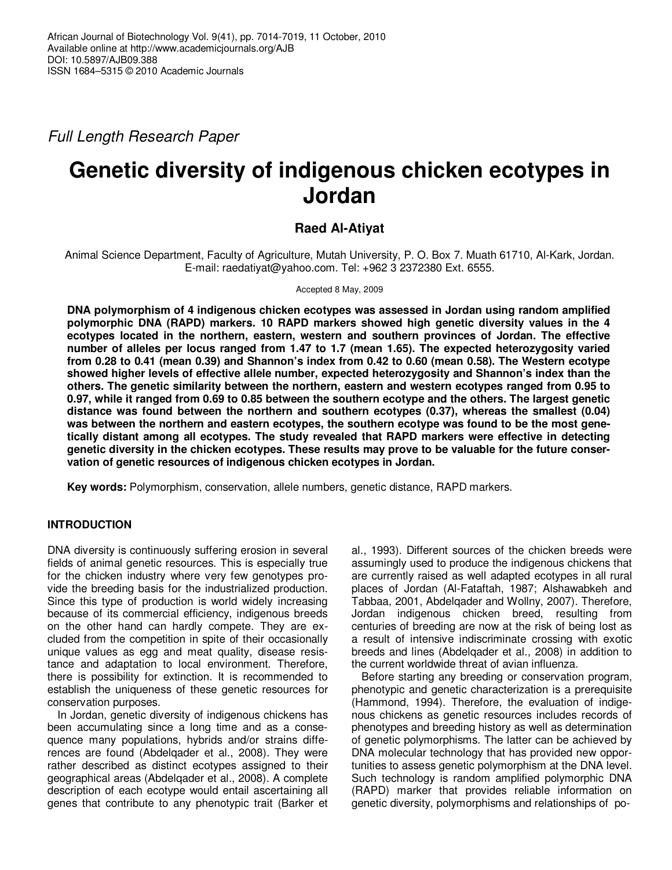Full Length Research Paper

# **Genetic diversity of indigenous chicken ecotypes in Jordan**

# **Raed Al-Atiyat**

Animal Science Department, Faculty of Agriculture, Mutah University, P. O. Box 7. Muath 61710, Al-Kark, Jordan. E-mail: raedatiyat@yahoo.com. Tel: +962 3 2372380 Ext. 6555.

Accepted 8 May, 2009

**DNA polymorphism of 4 indigenous chicken ecotypes was assessed in Jordan using random amplified polymorphic DNA (RAPD) markers. 10 RAPD markers showed high genetic diversity values in the 4 ecotypes located in the northern, eastern, western and southern provinces of Jordan. The effective number of alleles per locus ranged from 1.47 to 1.7 (mean 1.65). The expected heterozygosity varied from 0.28 to 0.41 (mean 0.39) and Shannon's index from 0.42 to 0.60 (mean 0.58). The Western ecotype showed higher levels of effective allele number, expected heterozygosity and Shannon's index than the others. The genetic similarity between the northern, eastern and western ecotypes ranged from 0.95 to 0.97, while it ranged from 0.69 to 0.85 between the southern ecotype and the others. The largest genetic distance was found between the northern and southern ecotypes (0.37), whereas the smallest (0.04) was between the northern and eastern ecotypes, the southern ecotype was found to be the most genetically distant among all ecotypes. The study revealed that RAPD markers were effective in detecting genetic diversity in the chicken ecotypes. These results may prove to be valuable for the future conservation of genetic resources of indigenous chicken ecotypes in Jordan.** 

**Key words:** Polymorphism, conservation, allele numbers, genetic distance, RAPD markers.

# **INTRODUCTION**

DNA diversity is continuously suffering erosion in several fields of animal genetic resources. This is especially true for the chicken industry where very few genotypes provide the breeding basis for the industrialized production. Since this type of production is world widely increasing because of its commercial efficiency, indigenous breeds on the other hand can hardly compete. They are excluded from the competition in spite of their occasionally unique values as egg and meat quality, disease resistance and adaptation to local environment. Therefore, there is possibility for extinction. It is recommended to establish the uniqueness of these genetic resources for conservation purposes.

In Jordan, genetic diversity of indigenous chickens has been accumulating since a long time and as a consequence many populations, hybrids and/or strains differences are found (Abdelqader et al., 2008). They were rather described as distinct ecotypes assigned to their geographical areas (Abdelqader et al., 2008). A complete description of each ecotype would entail ascertaining all genes that contribute to any phenotypic trait (Barker et al., 1993). Different sources of the chicken breeds were assumingly used to produce the indigenous chickens that are currently raised as well adapted ecotypes in all rural places of Jordan (Al-Fataftah, 1987; Alshawabkeh and Tabbaa, 2001, Abdelqader and Wollny, 2007). Therefore, Jordan indigenous chicken breed, resulting from centuries of breeding are now at the risk of being lost as a result of intensive indiscriminate crossing with exotic breeds and lines (Abdelqader et al., 2008) in addition to the current worldwide threat of avian influenza.

Before starting any breeding or conservation program, phenotypic and genetic characterization is a prerequisite (Hammond, 1994). Therefore, the evaluation of indigenous chickens as genetic resources includes records of phenotypes and breeding history as well as determination of genetic polymorphisms. The latter can be achieved by DNA molecular technology that has provided new opportunities to assess genetic polymorphism at the DNA level. Such technology is random amplified polymorphic DNA (RAPD) marker that provides reliable information on genetic diversity, polymorphisms and relationships of po-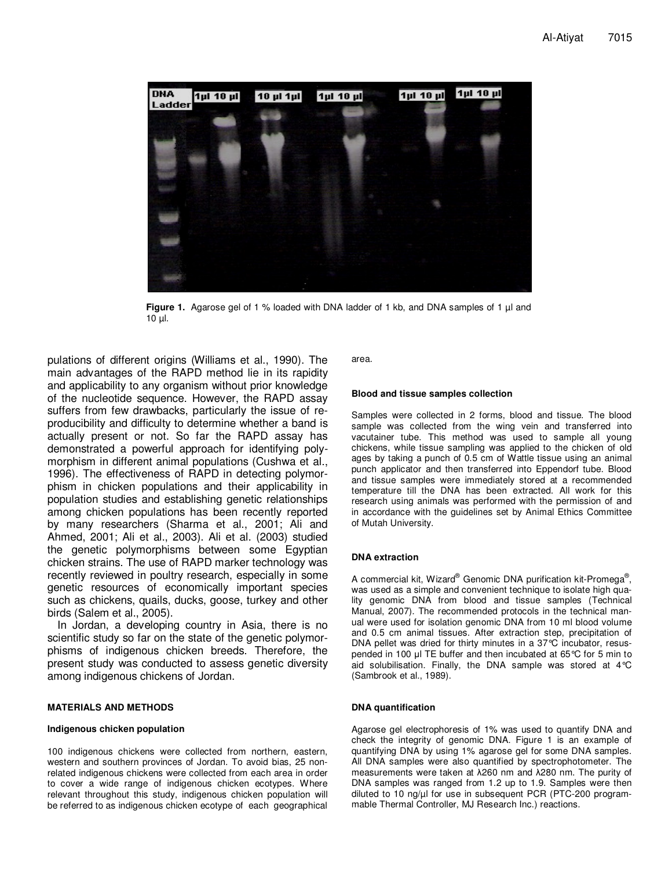

**Figure 1.** Agarose gel of 1 % loaded with DNA ladder of 1 kb, and DNA samples of 1 µl and 10 µl.

pulations of different origins (Williams et al., 1990). The main advantages of the RAPD method lie in its rapidity and applicability to any organism without prior knowledge of the nucleotide sequence. However, the RAPD assay suffers from few drawbacks, particularly the issue of reproducibility and difficulty to determine whether a band is actually present or not. So far the RAPD assay has demonstrated a powerful approach for identifying polymorphism in different animal populations (Cushwa et al., 1996). The effectiveness of RAPD in detecting polymorphism in chicken populations and their applicability in population studies and establishing genetic relationships among chicken populations has been recently reported by many researchers (Sharma et al., 2001; Ali and Ahmed, 2001; Ali et al., 2003). Ali et al. (2003) studied the genetic polymorphisms between some Egyptian chicken strains. The use of RAPD marker technology was recently reviewed in poultry research, especially in some genetic resources of economically important species such as chickens, quails, ducks, goose, turkey and other birds (Salem et al., 2005).

In Jordan, a developing country in Asia, there is no scientific study so far on the state of the genetic polymorphisms of indigenous chicken breeds. Therefore, the present study was conducted to assess genetic diversity among indigenous chickens of Jordan.

## **MATERIALS AND METHODS**

## **Indigenous chicken population**

100 indigenous chickens were collected from northern, eastern, western and southern provinces of Jordan. To avoid bias, 25 nonrelated indigenous chickens were collected from each area in order to cover a wide range of indigenous chicken ecotypes. Where relevant throughout this study, indigenous chicken population will be referred to as indigenous chicken ecotype of each geographical area.

#### **Blood and tissue samples collection**

Samples were collected in 2 forms, blood and tissue. The blood sample was collected from the wing vein and transferred into vacutainer tube. This method was used to sample all young chickens, while tissue sampling was applied to the chicken of old ages by taking a punch of 0.5 cm of Wattle tissue using an animal punch applicator and then transferred into Eppendorf tube. Blood and tissue samples were immediately stored at a recommended temperature till the DNA has been extracted. All work for this research using animals was performed with the permission of and in accordance with the guidelines set by Animal Ethics Committee of Mutah University.

### **DNA extraction**

A commercial kit, Wizard® Genomic DNA purification kit-Promega® ', was used as a simple and convenient technique to isolate high quality genomic DNA from blood and tissue samples (Technical Manual, 2007). The recommended protocols in the technical manual were used for isolation genomic DNA from 10 ml blood volume and 0.5 cm animal tissues. After extraction step, precipitation of DNA pellet was dried for thirty minutes in a 37°C incubator, resuspended in 100 µl TE buffer and then incubated at 65°C for 5 min to aid solubilisation. Finally, the DNA sample was stored at 4°C (Sambrook et al., 1989).

#### **DNA quantification**

Agarose gel electrophoresis of 1% was used to quantify DNA and check the integrity of genomic DNA. Figure 1 is an example of quantifying DNA by using 1% agarose gel for some DNA samples. All DNA samples were also quantified by spectrophotometer. The measurements were taken at λ260 nm and λ280 nm. The purity of DNA samples was ranged from 1.2 up to 1.9. Samples were then diluted to 10 ng/µl for use in subsequent PCR (PTC-200 programmable Thermal Controller, MJ Research Inc.) reactions.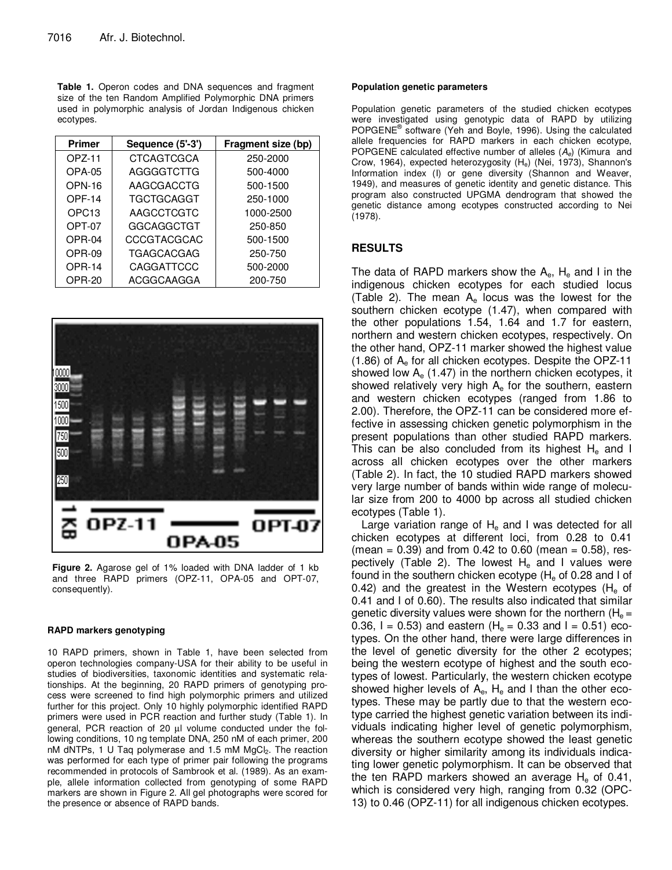**Table 1.** Operon codes and DNA sequences and fragment size of the ten Random Amplified Polymorphic DNA primers used in polymorphic analysis of Jordan Indigenous chicken ecotypes.

| <b>Primer</b>     | Sequence (5'-3')   | Fragment size (bp) |  |  |  |  |
|-------------------|--------------------|--------------------|--|--|--|--|
| OPZ-11            | <b>CTCAGTCGCA</b>  | 250-2000           |  |  |  |  |
| <b>OPA-05</b>     | AGGGGTCTTG         | 500-4000           |  |  |  |  |
| <b>OPN-16</b>     | AAGCGACCTG         | 500-1500           |  |  |  |  |
| OPF-14            | <b>TGCTGCAGGT</b>  | 250-1000           |  |  |  |  |
| OPC <sub>13</sub> | AAGCCTCGTC         | 1000-2500          |  |  |  |  |
| OPT-07            | GGCAGGCTGT         | 250-850            |  |  |  |  |
| OPR-04            | <b>CCCGTACGCAC</b> | 500-1500           |  |  |  |  |
| OPR-09            | <b>TGAGCACGAG</b>  | 250-750            |  |  |  |  |
| <b>OPR-14</b>     | CAGGATTCCC         | 500-2000           |  |  |  |  |
| OPR-20            | ACGGCAAGGA         | 200-750            |  |  |  |  |



**Figure 2.** Agarose gel of 1% loaded with DNA ladder of 1 kb and three RAPD primers (OPZ-11, OPA-05 and OPT-07, consequently).

#### **RAPD markers genotyping**

10 RAPD primers, shown in Table 1, have been selected from operon technologies company-USA for their ability to be useful in studies of biodiversities, taxonomic identities and systematic relationships. At the beginning, 20 RAPD primers of genotyping process were screened to find high polymorphic primers and utilized further for this project. Only 10 highly polymorphic identified RAPD primers were used in PCR reaction and further study (Table 1). In general, PCR reaction of 20 µl volume conducted under the following conditions, 10 ng template DNA, 250 nM of each primer, 200 nM dNTPs, 1 U Taq polymerase and 1.5 mM MgCl<sub>2</sub>. The reaction was performed for each type of primer pair following the programs recommended in protocols of Sambrook et al. (1989). As an example, allele information collected from genotyping of some RAPD markers are shown in Figure 2. All gel photographs were scored for the presence or absence of RAPD bands.

#### **Population genetic parameters**

Population genetic parameters of the studied chicken ecotypes were investigated using genotypic data of RAPD by utilizing POPGENE® software (Yeh and Boyle, 1996). Using the calculated allele frequencies for RAPD markers in each chicken ecotype, POPGENE calculated effective number of alleles  $(A_e)$  (Kimura and Crow, 1964), expected heterozygosity (He) (Nei, 1973), Shannon's Information index (I) or gene diversity (Shannon and Weaver, 1949), and measures of genetic identity and genetic distance. This program also constructed UPGMA dendrogram that showed the genetic distance among ecotypes constructed according to Nei (1978).

## **RESULTS**

The data of RAPD markers show the  $A_{e}$ ,  $H_{e}$  and I in the indigenous chicken ecotypes for each studied locus (Table 2). The mean  $A_e$  locus was the lowest for the southern chicken ecotype (1.47), when compared with the other populations 1.54, 1.64 and 1.7 for eastern, northern and western chicken ecotypes, respectively. On the other hand, OPZ-11 marker showed the highest value  $(1.86)$  of  $A<sub>e</sub>$  for all chicken ecotypes. Despite the OPZ-11 showed low  $A_e$  (1.47) in the northern chicken ecotypes, it showed relatively very high  $A<sub>e</sub>$  for the southern, eastern and western chicken ecotypes (ranged from 1.86 to 2.00). Therefore, the OPZ-11 can be considered more effective in assessing chicken genetic polymorphism in the present populations than other studied RAPD markers. This can be also concluded from its highest  $H<sub>e</sub>$  and I across all chicken ecotypes over the other markers (Table 2). In fact, the 10 studied RAPD markers showed very large number of bands within wide range of molecular size from 200 to 4000 bp across all studied chicken ecotypes (Table 1).

Large variation range of  $H<sub>e</sub>$  and I was detected for all chicken ecotypes at different loci, from 0.28 to 0.41  $(mean = 0.39)$  and from 0.42 to 0.60 (mean = 0.58), respectively (Table 2). The lowest  $H_e$  and I values were found in the southern chicken ecotype  $(H_e$  of 0.28 and I of 0.42) and the greatest in the Western ecotypes ( $H_{\circ}$  of 0.41 and I of 0.60). The results also indicated that similar genetic diversity values were shown for the northern  $(H_e =$ 0.36, I = 0.53) and eastern (H<sub>e</sub> = 0.33 and I = 0.51) ecotypes. On the other hand, there were large differences in the level of genetic diversity for the other 2 ecotypes; being the western ecotype of highest and the south ecotypes of lowest. Particularly, the western chicken ecotype showed higher levels of  $A_{e}$ ,  $H_{e}$  and I than the other ecotypes. These may be partly due to that the western ecotype carried the highest genetic variation between its individuals indicating higher level of genetic polymorphism, whereas the southern ecotype showed the least genetic diversity or higher similarity among its individuals indicating lower genetic polymorphism. It can be observed that the ten RAPD markers showed an average  $H_e$  of 0.41, which is considered very high, ranging from 0.32 (OPC-13) to 0.46 (OPZ-11) for all indigenous chicken ecotypes.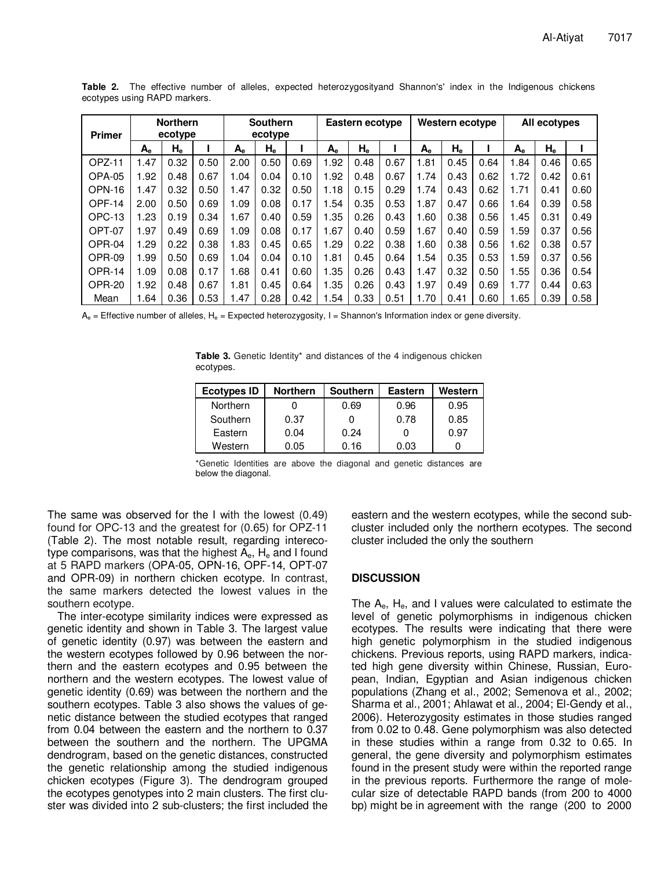| <b>Primer</b> | <b>Northern</b><br>ecotype |                           | <b>Southern</b><br>ecotype |      | Eastern ecotype           |      | Western ecotype |                           |      | All ecotypes |         |      |         |                   |      |
|---------------|----------------------------|---------------------------|----------------------------|------|---------------------------|------|-----------------|---------------------------|------|--------------|---------|------|---------|-------------------|------|
|               | $A_{e}$                    | $\mathsf{H}_{\mathsf{e}}$ |                            | A.   | $\mathsf{H}_{\mathsf{e}}$ |      | $A_{e}$         | $\mathsf{H}_{\mathsf{e}}$ |      | $A_{e}$      | $H_{e}$ |      | $A_{e}$ | ${\sf H}_{\sf e}$ |      |
| OPZ-11        | 1.47                       | 0.32                      | 0.50                       | 2.00 | 0.50                      | 0.69 | 1.92            | 0.48                      | 0.67 | 1.81         | 0.45    | 0.64 | 1.84    | 0.46              | 0.65 |
| OPA-05        | .92                        | 0.48                      | 0.67                       | 1.04 | 0.04                      | 0.10 | 1.92            | 0.48                      | 0.67 | 1.74         | 0.43    | 0.62 | 1.72    | 0.42              | 0.61 |
| OPN-16        | 1.47                       | 0.32                      | 0.50                       | 1.47 | 0.32                      | 0.50 | 1.18            | 0.15                      | 0.29 | 1.74         | 0.43    | 0.62 | 1.71    | 0.41              | 0.60 |
| OPF-14        | 2.00                       | 0.50                      | 0.69                       | 1.09 | 0.08                      | 0.17 | 1.54            | 0.35                      | 0.53 | 1.87         | 0.47    | 0.66 | 1.64    | 0.39              | 0.58 |
| OPC-13        | .23                        | 0.19                      | 0.34                       | 1.67 | 0.40                      | 0.59 | 1.35            | 0.26                      | 0.43 | 1.60         | 0.38    | 0.56 | 1.45    | 0.31              | 0.49 |
| OPT-07        | 1.97                       | 0.49                      | 0.69                       | 1.09 | 0.08                      | 0.17 | 1.67            | 0.40                      | 0.59 | 1.67         | 0.40    | 0.59 | 1.59    | 0.37              | 0.56 |
| OPR-04        | l.29                       | 0.22                      | 0.38                       | 1.83 | 0.45                      | 0.65 | 1.29            | 0.22                      | 0.38 | 1.60         | 0.38    | 0.56 | 1.62    | 0.38              | 0.57 |
| OPR-09        | 99. ا                      | 0.50                      | 0.69                       | 1.04 | 0.04                      | 0.10 | 1.81            | 0.45                      | 0.64 | 1.54         | 0.35    | 0.53 | 1.59    | 0.37              | 0.56 |
| <b>OPR-14</b> | 1.09                       | 0.08                      | 0.17                       | 1.68 | 0.41                      | 0.60 | 1.35            | 0.26                      | 0.43 | 1.47         | 0.32    | 0.50 | 1.55    | 0.36              | 0.54 |
| OPR-20        | .92                        | 0.48                      | 0.67                       | 1.81 | 0.45                      | 0.64 | 1.35            | 0.26                      | 0.43 | 1.97         | 0.49    | 0.69 | 1.77    | 0.44              | 0.63 |
| Mean          | .64                        | 0.36                      | 0.53                       | 1.47 | 0.28                      | 0.42 | 1.54            | 0.33                      | 0.51 | 1.70         | 0.41    | 0.60 | 1.65    | 0.39              | 0.58 |

**Table 2.** The effective number of alleles, expected heterozygosityand Shannon's' index in the Indigenous chickens ecotypes using RAPD markers.

 $A_e$  = Effective number of alleles,  $H_e$  = Expected heterozygosity, I = Shannon's Information index or gene diversity.

Table 3. Genetic Identity\* and distances of the 4 indigenous chicken ecotypes.

| Ecotypes ID     | <b>Northern</b> | <b>Southern</b> | <b>Eastern</b> | Western |
|-----------------|-----------------|-----------------|----------------|---------|
| <b>Northern</b> |                 | 0.69            | 0.96           | 0.95    |
| Southern        | 0.37            | 0               | 0.78           | 0.85    |
| Eastern         | 0.04            | 0.24            | 0              | 0.97    |
| Western         | 0.05            | 0.16            | 0.03           |         |

\*Genetic Identities are above the diagonal and genetic distances are below the diagonal.

The same was observed for the I with the lowest (0.49) found for OPC-13 and the greatest for (0.65) for OPZ-11 (Table 2). The most notable result, regarding interecotype comparisons, was that the highest  $A_{e}$ ,  $H_{e}$  and I found at 5 RAPD markers (OPA-05, OPN-16, OPF-14, OPT-07 and OPR-09) in northern chicken ecotype. In contrast, the same markers detected the lowest values in the southern ecotype.

The inter-ecotype similarity indices were expressed as genetic identity and shown in Table 3. The largest value of genetic identity (0.97) was between the eastern and the western ecotypes followed by 0.96 between the northern and the eastern ecotypes and 0.95 between the northern and the western ecotypes. The lowest value of genetic identity (0.69) was between the northern and the southern ecotypes. Table 3 also shows the values of genetic distance between the studied ecotypes that ranged from 0.04 between the eastern and the northern to 0.37 between the southern and the northern. The UPGMA dendrogram, based on the genetic distances, constructed the genetic relationship among the studied indigenous chicken ecotypes (Figure 3). The dendrogram grouped the ecotypes genotypes into 2 main clusters. The first cluster was divided into 2 sub-clusters; the first included the eastern and the western ecotypes, while the second subcluster included only the northern ecotypes. The second cluster included the only the southern

# **DISCUSSION**

The  $A_{e}$ ,  $H_{e}$ , and I values were calculated to estimate the level of genetic polymorphisms in indigenous chicken ecotypes. The results were indicating that there were high genetic polymorphism in the studied indigenous chickens. Previous reports, using RAPD markers, indicated high gene diversity within Chinese, Russian, European, Indian, Egyptian and Asian indigenous chicken populations (Zhang et al., 2002; Semenova et al., 2002; Sharma et al., 2001; Ahlawat et al., 2004; El-Gendy et al., 2006). Heterozygosity estimates in those studies ranged from 0.02 to 0.48. Gene polymorphism was also detected in these studies within a range from 0.32 to 0.65. In general, the gene diversity and polymorphism estimates found in the present study were within the reported range in the previous reports. Furthermore the range of molecular size of detectable RAPD bands (from 200 to 4000 bp) might be in agreement with the range (200 to 2000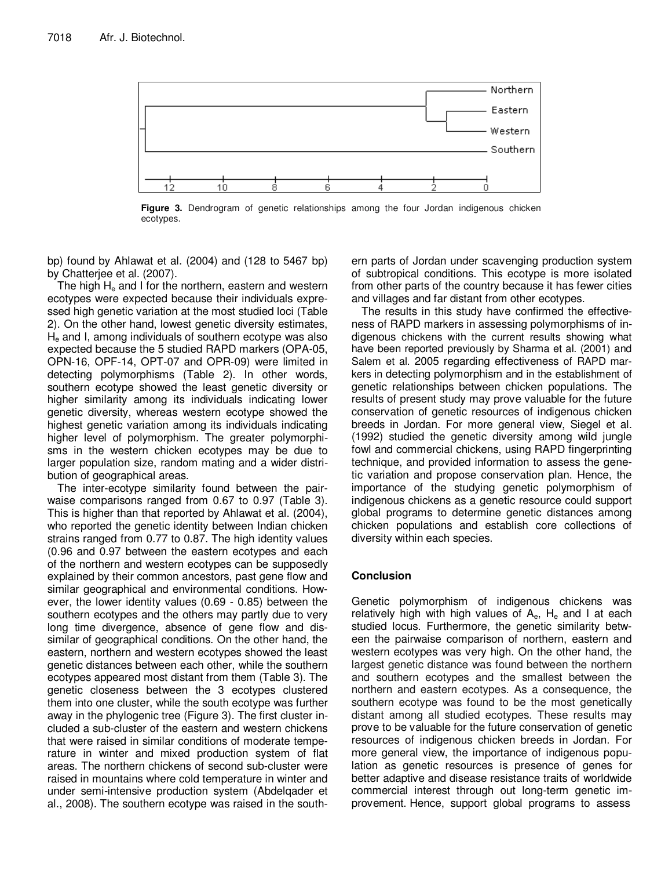

**Figure 3.** Dendrogram of genetic relationships among the four Jordan indigenous chicken ecotypes.

bp) found by Ahlawat et al. (2004) and (128 to 5467 bp) by Chatterjee et al. (2007).

The high  $H<sub>e</sub>$  and I for the northern, eastern and western ecotypes were expected because their individuals expressed high genetic variation at the most studied loci (Table 2). On the other hand, lowest genetic diversity estimates,  $H<sub>e</sub>$  and I, among individuals of southern ecotype was also expected because the 5 studied RAPD markers (OPA-05, OPN-16, OPF-14, OPT-07 and OPR-09) were limited in detecting polymorphisms (Table 2). In other words, southern ecotype showed the least genetic diversity or higher similarity among its individuals indicating lower genetic diversity, whereas western ecotype showed the highest genetic variation among its individuals indicating higher level of polymorphism. The greater polymorphisms in the western chicken ecotypes may be due to larger population size, random mating and a wider distribution of geographical areas.

The inter-ecotype similarity found between the pairwaise comparisons ranged from 0.67 to 0.97 (Table 3). This is higher than that reported by Ahlawat et al. (2004), who reported the genetic identity between Indian chicken strains ranged from 0.77 to 0.87. The high identity values (0.96 and 0.97 between the eastern ecotypes and each of the northern and western ecotypes can be supposedly explained by their common ancestors, past gene flow and similar geographical and environmental conditions. However, the lower identity values (0.69 - 0.85) between the southern ecotypes and the others may partly due to very long time divergence, absence of gene flow and dissimilar of geographical conditions. On the other hand, the eastern, northern and western ecotypes showed the least genetic distances between each other, while the southern ecotypes appeared most distant from them (Table 3). The genetic closeness between the 3 ecotypes clustered them into one cluster, while the south ecotype was further away in the phylogenic tree (Figure 3). The first cluster included a sub-cluster of the eastern and western chickens that were raised in similar conditions of moderate temperature in winter and mixed production system of flat areas. The northern chickens of second sub-cluster were raised in mountains where cold temperature in winter and under semi-intensive production system (Abdelqader et al., 2008). The southern ecotype was raised in the southern parts of Jordan under scavenging production system of subtropical conditions. This ecotype is more isolated from other parts of the country because it has fewer cities and villages and far distant from other ecotypes.

The results in this study have confirmed the effectiveness of RAPD markers in assessing polymorphisms of indigenous chickens with the current results showing what have been reported previously by Sharma et al. (2001) and Salem et al. 2005 regarding effectiveness of RAPD markers in detecting polymorphism and in the establishment of genetic relationships between chicken populations. The results of present study may prove valuable for the future conservation of genetic resources of indigenous chicken breeds in Jordan. For more general view, Siegel et al. (1992) studied the genetic diversity among wild jungle fowl and commercial chickens, using RAPD fingerprinting technique, and provided information to assess the genetic variation and propose conservation plan. Hence, the importance of the studying genetic polymorphism of indigenous chickens as a genetic resource could support global programs to determine genetic distances among chicken populations and establish core collections of diversity within each species.

# **Conclusion**

Genetic polymorphism of indigenous chickens was relatively high with high values of  $A_{e}$ ,  $H_{e}$  and I at each studied locus. Furthermore, the genetic similarity between the pairwaise comparison of northern, eastern and western ecotypes was very high. On the other hand, the largest genetic distance was found between the northern and southern ecotypes and the smallest between the northern and eastern ecotypes. As a consequence, the southern ecotype was found to be the most genetically distant among all studied ecotypes. These results may prove to be valuable for the future conservation of genetic resources of indigenous chicken breeds in Jordan. For more general view, the importance of indigenous population as genetic resources is presence of genes for better adaptive and disease resistance traits of worldwide commercial interest through out long-term genetic improvement. Hence, support global programs to assess